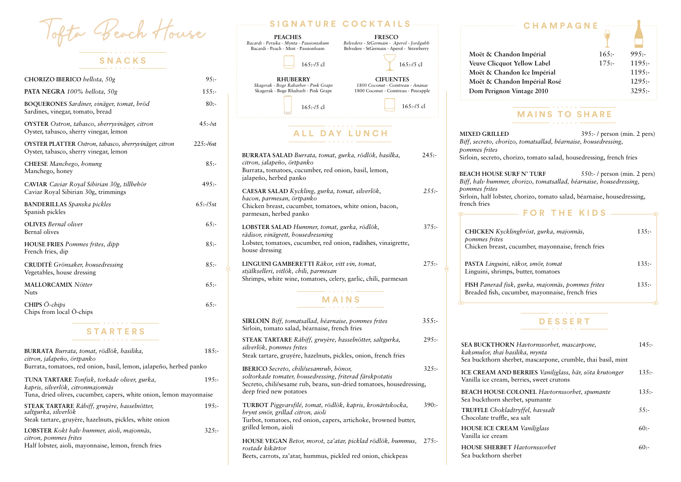| BURRATA <i>Burrata, tomat, rödlök, basilika</i> ,<br>citron, jalapeño, örtpanko   | $185: -$ |
|-----------------------------------------------------------------------------------|----------|
| Burrata, tomatoes, red onion, basil, lemon, jalapeño, herbed panko                |          |
| TUNA TARTARE Tonfisk, torkade oliver, gurka,<br>kapris, silverlök, citronmajonnäs | $195: -$ |
| Tuna, dried olives, cucumber, capers, white onion, lemon mayonnaise               |          |
| STEAK TARTARE Råbiff, gruyère, hasselnötter,<br>saltgurka, silverlök              | $195: -$ |
| Steak tartare, gruyére, hazelnuts, pickles, white onion                           |          |
| <b>LOBSTER</b> Kokt halv hummer, aioli, majonnäs,<br>citron, pommes frites        | $325 -$  |
| Half lobster, aioli, mayonnaise, lemon, french fries                              |          |

| CHORIZO IBERICO bellota, 50g                                                                    | 95:          |
|-------------------------------------------------------------------------------------------------|--------------|
| PATA NEGRA 100% bellota, 50g                                                                    | $155: -$     |
| BOQUERONES Sardiner, vinäger, tomat, bröd<br>Sardines, vinegar, tomato, bread                   | $80: -$      |
| OYSTER Ostron, tabasco, sherryvinäger, citron<br>Oyster, tabasco, sherry vinegar, lemon         | $45:-/st$    |
| OYSTER PLATTER Ostron, tabasco, sherryvinäger, citron<br>Oyster, tabasco, sherry vinegar, lemon | $225: -16st$ |
| CHEESE Manchego, honung<br>Manchego, honey                                                      | $85: -$      |
| CAVIAR Caviar Royal Sibirian 30g, tillbehör<br>Caviar Royal Sibirian 30g, trimmings             | $495: -$     |
| <b>BANDERILLAS</b> Spanska pickles<br>Spanish pickles                                           | $65: -/5st$  |
| <b>OLIVES</b> Bernal oliver<br>Bernal olives                                                    | 65:          |
| <b>HOUSE FRIES</b> Pommes frites, dipp<br>French fries, dip                                     | 85:          |
| CRUDITÉ Grönsaker, housedressing<br>Vegetables, house dressing                                  | 85:          |
| <b>MALLORCAMIX Nötter</b><br><b>Nuts</b>                                                        | 65:          |
| CHIPS Ö-chips<br>Chips from local Ö-chips                                                       | 65:          |
| C T A D T F D C                                                                                 |              |

Vofta Beach House **SNACKS**

### **STARTERS**

# **DESSERT**

| Havtornssorbet, mascarpone,<br>ilika, mynta<br>bet, mascarpone, crumble, thai basil, mint | $145: -$ |
|-------------------------------------------------------------------------------------------|----------|
| BERRIES Vaniljglass, bär, söta krutonger<br>erries, sweet crutons                         | $135: -$ |
| <b>LONEL</b> Havtornssorbet, spumante<br>bet, spumante                                    | $135: -$ |
| ryffel, havssalt<br>a salt:                                                               | $55: -$  |
| A Vaniljglass                                                                             | 60:      |
| Havtornssorbet                                                                            | $60:-$   |

## **MAINS TO SHARE**

**MIXED GRILLED** 395:- / person (min. 2 pers) *Biff, secreto, chorizo, tomatsallad, béarnaise, housedressing,* 

**BEACH HOUSE SURF N' TURF** 550:- / person (min. 2 pers) *Biff, halv hummer, chorizo, tomatsallad, béarnaise, housedressing,*

 $\rightsquigarrow$ 

#### **SIRLOIN** *Biff, tomatsallad, béarnaise, pommes frites* 355:- Sirloin, tomato salad, béarnaise, french fries **STEAK TARTARE** *Råbiff, gruyère, hasselnötter, saltgurka,* 295: *silverlök, pommes frites* Steak tartare, gruyére, hazelnuts, pickles, onion, french fries **IBERICO** *Secreto, chili/sesamrub, bönor,* 325: *soltorkade tomater, housedressing, friterad färskpotatis* Secreto, chili/sesame rub, beans, sun-dried tomatoes, housedressing, deep fried new potatoes **TURBOT** *Piggvarsfilé, tomat, rödlök, kapris, kronärtskocka,* 390: *brynt smör, grillad citron, aioli* Turbot, tomatoes, red onion, capers, artichoke, browned butter, grilled lemon, aioli **HOUSE VEGAN** *Betor, morot, za'atar, picklad rödlök, hummus,* 275: *rostade kikärtor* Beets, carrots, za'atar, hummus, pickled red onion, chickpeas **MAINS ALL DAY LUNCH BURRATA SALAD** *Burrata, tomat, gurka, rödlök, basilka,* 245: *citron, jalapeño, örtpanko* Burrata, tomatoes, cucumber, red onion, basil, lemon, jalapeño, herbed panko **CAESAR SALAD** *Kyckling, gurka, tomat, silverlök, 255: bacon, parmesan, örtpanko* Chicken breast, cucumber, tomatoes, white onion, bacon, parmesan, herbed panko **LOBSTER SALAD** *Hummer, tomat, gurka, rödlök,* 375: *rädisor, vinägrett, housedressning* Lobster, tomatoes, cucumber, red onion, radishes, vinaigrette, house dressing **LINGUINI GAMBERETTI** *Räkor, vitt vin, tomat,* 275: *stjälkselleri, vitlök, chili, parmesan* Shrimps, white wine, tomatoes, celery, garlic, chili, parmesan **CHICKEN** *Kycklin pommes frites*  Chicken breast, cu PASTA Linguini, rä Linguini, shrimps, **FISH Panerad fisk,** Breaded fish, cucui **SEA BUCKTHORN** *Havtornssorbet, mascarpone,* 145: *kaksmulor, thai basilika, mynta* Sea buckthorn sherb **ICE CREAM AND BERRIES** *Vaniljglass, bär, söta krutonger* 135:- Vanilla ice cream, be **BEACH HOUSE CO** Sea buckthorn sherb **TRUFFLE** *Chokladt* Chocolate truffle, se **HOUSE ICE CREAM** Vanilla ice cream **HOUSE SHERBET** *I* Sea buckthorn sherbet **SIGNATURE COCKTAILS Moët & Chando** Veuve Clicquot **Moët & Chandon Moët & Chando Dom Perignon V** 165:-/5 cl 165:-/5 cl 165:-/5 cl 165:-/5 cl **PEACHES** *Bacardi - Persika - Mynta - Passionsskum*  Bacardi - Peach - Mint - Passionfoam **RHUBERRY** *Skagerak - Boge Rabarber - Pink Grape*  Skagerak - Boge Rhubarb - Pink Grape **CIFUENTES**  *1800 Coconut - Cointreau - Ananas*  1800 Coconut - Cointreau - Pineapple **FRESCO**  *Belvedere - StGermain - Aperol - Jordgubb* Belvedere - StGermain - Aperol - Strawberry *pommes frites pommes frites* french fries

| <b>CHAMPAGNE</b>    |          |           |  |
|---------------------|----------|-----------|--|
| on Impérial         | $165: -$ | 995:      |  |
| <b>Yellow Label</b> | $175: -$ | $1195: -$ |  |
| on Ice Impérial     |          | $1195: -$ |  |
| on Impérial Rosé    |          | $1295: -$ |  |
| intage 2010         |          | $3295: -$ |  |
|                     |          |           |  |

## **FOR THE KIDS**

| 135:     |
|----------|
|          |
| 13.5:    |
| $135: -$ |
|          |

Sirloin, secreto, chorizo, tomato salad, housedressing, french fries

Sirloin, half lobster, chorizo, tomato salad, béarnaise, housedressing,